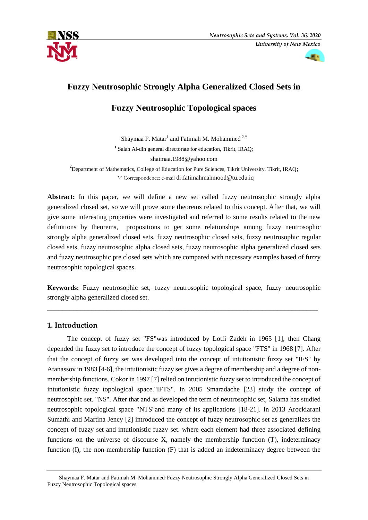



# **Fuzzy Neutrosophic Strongly Alpha Generalized Closed Sets in**

## **Fuzzy Neutrosophic Topological spaces**

Shaymaa F. Matar<sup>1</sup> and Fatimah M. Mohammed<sup>2,\*</sup> **1** Salah Al-din general directorate for education, Tikrit, IRAQ; shaimaa.1988@yahoo.com

**2** Department of Mathematics, College of Education for Pure Sciences, Tikrit University, Tikrit, IRAQ; **\***,2 Correspondence: e-mail [dr.fatimahmahmood@tu.edu.iq](mailto:dr.fatimahmahmood@tu.edu.iq)

**Abstract:** In this paper, we will define a new set called fuzzy neutrosophic strongly alpha generalized closed set, so we will prove some theorems related to this concept. After that, we will give some interesting properties were investigated and referred to some results related to the new definitions by theorems, propositions to get some relationships among fuzzy neutrosophic strongly alpha generalized closed sets, fuzzy neutrosophic closed sets, fuzzy neutrosophic regular closed sets, fuzzy neutrosophic alpha closed sets, fuzzy neutrosophic alpha generalized closed sets and fuzzy neutrosophic pre closed sets which are compared with necessary examples based of fuzzy neutrosophic topological spaces.

**Keywords:** Fuzzy neutrosophic set, fuzzy neutrosophic topological space, fuzzy neutrosophic strongly alpha generalized closed set.

\_\_\_\_\_\_\_\_\_\_\_\_\_\_\_\_\_\_\_\_\_\_\_\_\_\_\_\_\_\_\_\_\_\_\_\_\_\_\_\_\_\_\_\_\_\_\_\_\_\_\_\_\_\_\_\_\_\_\_\_\_\_\_\_\_\_\_\_\_\_\_\_\_

### **1. Introduction**

 The concept of fuzzy set "FS"was introduced by Lotfi Zadeh in 1965 [1], then Chang depended the fuzzy set to introduce the concept of fuzzy topological space "FTS" in 1968 [7]. After that the concept of fuzzy set was developed into the concept of intutionistic fuzzy set "IFS" by Atanassov in 1983 [4-6], the intutionistic fuzzy set gives a degree of membership and a degree of nonmembership functions. Cokor in 1997 [7] relied on intutionistic fuzzy set to introduced the concept of intutionistic fuzzy topological space."IFTS". In 2005 Smaradache [23] study the concept of neutrosophic set. "NS". After that and as developed the term of neutrosophic set, Salama has studied neutrosophic topological space "NTS"and many of its applications [18-21]. In 2013 Arockiarani Sumathi and Martina Jency [2] introduced the concept of fuzzy neutrosophic set as generalizes the concept of fuzzy set and intutionistic fuzzy set. where each element had three associated defining functions on the universe of discourse X, namely the membership function (T), indeterminacy function (I), the non-membership function (F) that is added an indeterminacy degree between the

Shaymaa F. Matar and Fatimah M. Mohammed' Fuzzy Neutrosophic Strongly Alpha Generalized Closed Sets in Fuzzy Neutrosophic Topological spaces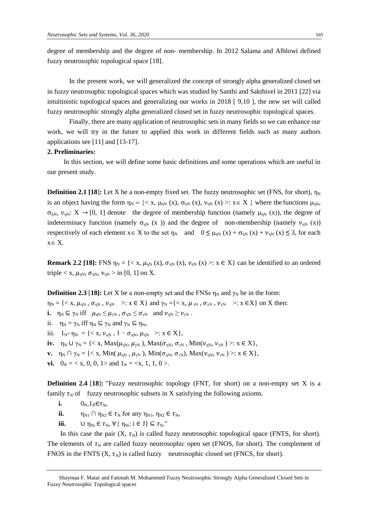degree of membership and the degree of non- membership. In 2012 Salama and Alblowi defined fuzzy neutrosophic topological space [18].

 In the present work, we will generalized the concept of strongly alpha generalized closed set in fuzzy neutrosophic topological spaces which was studied by Santhi and Sakthivel in 2011 [22] via intuitinistic topological spaces and generalizing our works in 2018 [ 9,10 ], the new set will called fuzzy neutrosophic strongly alpha generalized closed set in fuzzy neutrosophic topological spaces.

 Finally, there are many application of neutrosophic sets in many fields so we can enhance our work, we will try in the future to applied this work in different fields such as many authors applications see [11] and [13-17].

#### **2. Preliminaries:**

In this section, we will define some basic definitions and some operations which are useful in our present study.

**Definition 2.1 [18]:** Let X be a non-empty fixed set. The fuzzy neutrosophic set (FNS, for short),  $\eta_N$ is an object having the form  $\eta_N = \{ \langle x, \mu_{nN}(x), \sigma_{nN}(x), \nu_{nN}(x) \rangle : x \in X \}$  where the functions  $\mu_{nN}$ ,  $\sigma_{\eta N}$ ,  $\nu_{\eta N}: X \to [0, 1]$  denote the degree of membership function (namely  $\mu_{\eta N}$  (x)), the degree of indeterminacy function (namely  $\sigma_{\eta N}$  (x )) and the degree of non-membership (namely  $\nu_{\eta N}$  (x)) respectively of each element  $x \in X$  to the set  $\eta_N$  and  $0 \leq \mu_{nN}(x) + \sigma_{nN}(x) + \nu_{nN}(x) \leq 3$ , for each  $x \in X$ .

**Remark 2.2 [18]:** FNS  $\eta_N = \{ \langle x, \mu_{nN}(x), \sigma_{nN}(x), \nu_{nN}(x) \rangle : x \in X \}$  can be identified to an ordered triple  $\langle x, \mu_{\eta N}, \sigma_{\eta N}, \nu_{\eta N} \rangle$  in [0, 1] on X.

**Definition 2.3** [18]: Let X be a non-empty set and the FNSs  $\eta_N$  and  $\gamma_N$  be in the form:

 $\eta_N = \{ \langle x, \mu_{nN}, \sigma_{nN}, \nu_{nN} \rangle : x \in X \}$  and  $\gamma_N = \{ \langle x, \mu_{N}, \sigma_{N}, \nu_{N} \rangle : x \in X \}$  on X then:

- **i.**  $\eta_N \subseteq \gamma_N$  iff  $\mu_{\eta N} \leq \mu_{\gamma N}$ ,  $\sigma_{\eta N} \leq \sigma_{\gamma N}$  and  $\nu_{\eta N} \geq \nu_{\gamma N}$ .
- ii.  $\eta_N = \gamma_N$  iff  $\eta_N \subseteq \gamma_N$  and  $\gamma_N \subseteq \eta_N$ ,
- iii.  $1_{N^-} \eta_N = \{ \langle x, v_{\eta N}, 1 \sigma_{\eta N}, \mu_{\eta N} \rangle : x \in X \},$
- iv.  $\eta_N \cup \gamma_N = \{ \langle x, \text{Max}(\mu_{\eta N}, \mu_{\gamma N}), \text{Max}(\sigma_{\eta N}, \sigma_{\gamma N}, \text{Min}(\nu_{\eta N}, \nu_{\gamma N})) \rangle : x \in X \},$
- **v.**  $\eta_N \cap \gamma_N = \{ \langle x, \text{Min}(\mu_{\eta N}, \mu_{\gamma N}), \text{Min}(\sigma_{\eta N}, \sigma_{\gamma N}), \text{Max}(\nu_{\eta N}, \nu_{\gamma N}) \rangle : x \in X \},$
- **vi.**  $0_N = \langle x, 0, 0, 1 \rangle$  and  $1_N = \langle x, 1, 1, 0 \rangle$ .

**Definition 2.4 [18]:** "Fuzzy neutrosophic topology (FNT, for short) on a non-empty set X is a family  $\tau_N$  of fuzzy neutrosophic subsets in X satisfying the following axioms.

- **i.**  $0_N \cdot 1_N \in \tau_N$
- **ii.**  $\eta_{N1} \cap \eta_{N2} \in \tau_N$  for any  $\eta_{N1}$ ,  $\eta_{N2} \in \tau_N$ ,
- **iii.**  $\cup \eta_{\text{Ni}} \in \tau_{\text{N}}, \forall \{\eta_{\text{Ni}}: i \in J\} \subseteq \tau_{\text{N}}.$ "

In this case the pair  $(X, \tau_N)$  is called fuzzy neutrosophic topological space (FNTS, for short). The elements of  $\tau_N$  are called fuzzy neutrosophic open set (FNOS, for short). The complement of FNOS in the FNTS  $(X, \tau_N)$  is called fuzzy neutrosophic closed set (FNCS, for short).

Shaymaa F. Matar and Fatimah M. Mohammed Fuzzy Neutrosophic Strongly Alpha Generalized Closed Sets in Fuzzy Neutrosophic Topological spaces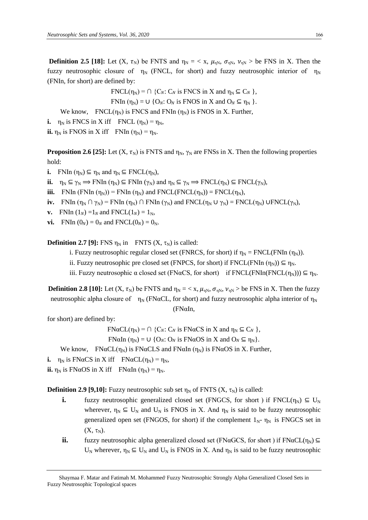**Definition 2.5 [18]:** Let  $(X, \tau_N)$  be FNTS and  $\eta_N = \langle X, \mu_N, \sigma_N, \nu_N \rangle$  be FNS in X. Then the fuzzy neutrosophic closure of  $\eta_N$  (FNCL, for short) and fuzzy neutrosophic interior of  $\eta_N$ (FNIn, for short) are defined by:

 $FNCL(\eta_N) = \bigcap \{C_N : C_N \text{ is FNCS in } X \text{ and } \eta_N \subseteq C_N \},$ 

FNIn  $(\eta_N) = \bigcup \{O_N : O_N \text{ is FNOS in } X \text{ and } O_N \subseteq \eta_N \}.$ 

We know, FNCL( $\eta_N$ ) is FNCS and FNIn ( $\eta_N$ ) is FNOS in X. Further,

**i.**  $\eta_N$  is FNCS in X iff FNCL  $(\eta_N) = \eta_N$ ,

**ii.**  $\eta_N$  is FNOS in X iff FNIn  $(\eta_N) = \eta_N$ .

**Proposition 2.6 [25]:** Let  $(X, \tau_N)$  is FNTS and  $\eta_N$ ,  $\gamma_N$  are FNSs in X. Then the following properties hold:

**i.** FNIn  $(\eta_N) \subseteq \eta_N$  and  $\eta_N \subseteq \text{FNCL}(\eta_N)$ ,

**ii.**  $\eta_N \subseteq \gamma_N \implies \text{FNIn } (\eta_N) \subseteq \text{FNIn } (\gamma_N)$  and  $\eta_N \subseteq \gamma_N \implies \text{FNCL}(\eta_N) \subseteq \text{FNCL}(\gamma_N)$ ,

**iii.** FNIn (FNIn  $(\eta_N)$ ) = FNIn  $(\eta_N)$  and FNCL(FNCL( $\eta_N$ )) = FNCL( $\eta_N$ ),

- **iv.** FNIn  $(\eta_N \cap \gamma_N)$  = FNIn  $(\eta_N) \cap$  FNIn  $(\gamma_N)$  and FNCL( $\eta_N \cup \gamma_N$ ) = FNCL( $(\eta_N)$ , UFNCL( $(\gamma_N)$ ,
- **v. FNIn**  $(1_N) = 1_N$  and **FNCL** $(1_N) = 1_N$ ,
- **vi.** FNIn  $(0_N) = 0_N$  and FNCL $(0_N) = 0_N$ .

**Definition 2.7 [9]:** FNS  $\eta_N$  in FNTS  $(X, \tau_N)$  is called:

i. Fuzzy neutrosophic regular closed set (FNRCS, for short) if  $\eta_N = FNCL(FNIn (\eta_N))$ .

- ii. Fuzzy neutrosophic pre closed set (FNPCS, for short) if FNCL(FNIn  $(\eta_N)$ )  $\subseteq \eta_N$ .
- iii. Fuzzy neutrosophic  $\alpha$  closed set (FN $\alpha$ CS, for short) if FNCL(FNIn(FNCL( $\eta_N$ )))  $\subseteq \eta_N$ .

**Definition 2.8** [10]: Let  $(X, \tau_N)$  be FNTS and  $\eta_N = \langle X, \mu_{N} \rangle$ ,  $\sigma_{N}$ ,  $\nu_{N}$  > be FNS in X. Then the fuzzy neutrosophic alpha closure of  $\eta_N$  (FNαCL, for short) and fuzzy neutrosophic alpha interior of  $\eta_N$ (FNαIn,

for short) are defined by:

 $FN\alpha CL(\eta_N) = \bigcap \{C_N : C_N \text{ is } FN\alpha CS \text{ in } X \text{ and } \eta_N \subseteq C_N \},$ 

FNαIn  $(\eta_N) = \cup \{O_N : O_N \text{ is FNoOS in } X \text{ and } O_N \subseteq \eta_N \}.$ 

We know, FNαCL( $\eta_N$ ) is FNαCLS and FNαIn ( $\eta_N$ ) is FNαOS in X. Further,

**i.**  $\eta_N$  is FNαCS in X iff FNαCL( $\eta_N$ ) =  $\eta_N$ ,

**ii.**  $\eta_N$  is FNαOS in X iff FNαIn ( $\eta_N$ ) =  $\eta_N$ .

**Definition 2.9 [9,10]:** Fuzzy neutrosophic sub set  $\eta_N$  of FNTS (X,  $\tau_N$ ) is called:

- **i.** fuzzy neutrosophic generalized closed set (FNGCS, for short) if  $FNCL(\eta_N) \subseteq U_N$ wherever,  $\eta_N \subseteq U_N$  and  $U_N$  is FNOS in X. And  $\eta_N$  is said to be fuzzy neutrosophic generalized open set (FNGOS, for short) if the complement  $1_{N^-}$   $\eta_N$  is FNGCS set in  $(X, \tau_N)$ .
- **ii.** fuzzy neutrosophic alpha generalized closed set (FNαGCS, for short) if  $FN\alpha CL(\eta_N) \subseteq$  $U_N$  wherever,  $\eta_N \subseteq U_N$  and  $U_N$  is FNOS in X. And  $\eta_N$  is said to be fuzzy neutrosophic

Shaymaa F. Matar and Fatimah M. Mohammed Fuzzy Neutrosophic Strongly Alpha Generalized Closed Sets in Fuzzy Neutrosophic Topological spaces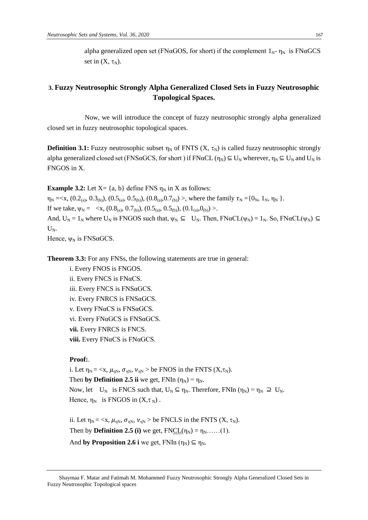alpha generalized open set (FNαGOS, for short) if the complement  $1_{N}$ -  $\eta_N$  is FNαGCS set in  $(X, \tau_N)$ .

## **3. Fuzzy Neutrosophic Strongly Alpha Generalized Closed Sets in Fuzzy Neutrosophic Topological Spaces.**

 Now, we will introduce the concept of fuzzy neutrosophic strongly alpha generalized closed set in fuzzy neutrosophic topological spaces.

**Definition 3.1:** Fuzzy neutrosophic subset  $\eta_N$  of FNTS  $(X, \tau_N)$  is called fuzzy neutrosophic strongly alpha generalized closed set (FNSαGCS, for short) if FNαCL ( $\eta_N$ )  $\subseteq U_N$  wherever,  $\eta_N \subseteq U_N$  and  $U_N$  is FNGOS in X.

**Example 3.2:** Let  $X = \{a, b\}$  define FNS  $\eta_N$  in X as follows:

 $\eta_N = \langle x, (0.2_{(a)}, 0.3_{(b)}), (0.5_{(a)}, 0.5_{(b)}), (0.8_{(a)}, 0.7_{(b)}) \rangle$ , where the family  $\tau_N = \{0_N, 1_N, \eta_N\}$ . If we take,  $\psi_N = \langle x, (0.8_{(a)}, 0.7_{(b)}), (0.5_{(a)}, 0.5_{(b)}), (0.1_{(a)}, 0_{(b)}) \rangle$ . And,  $U_N = 1_N$  where  $U_N$  is FNGOS such that,  $\psi_N \subseteq U_N$ . Then, FN $\alpha CL(\psi_N) = 1_N$ . So, FN $\alpha CL(\psi_N) \subseteq$  $U_{N}$ .

Hence,  $\psi_N$  is FNS $\alpha$ GCS.

**Theorem 3.3:** For any FNSs, the following statements are true in general:

i. Every FNOS is FNGOS. ii. Every FNCS is FNαCS. iii. Every FNCS is FNSαGCS. iv. Every FNRCS is FNSαGCS. v. Every FNαCS is FNSαGCS. vi. Every FNαGCS is FNSαGCS. **vii.** Every FNRCS is FNCS. **viii.** Every FNαCS is FNαGCS.

#### **Proof:**.

i. Let  $\eta_N = \langle x, \mu_{nN}, \sigma_{nN}, \nu_{nN} \rangle$  be FNOS in the FNTS  $(X, \tau_N)$ . Then **by Definition 2.5 ii** we get, FNIn  $(\eta_N) = \eta_N$ . Now, let  $U_N$  is FNCS such that,  $U_N \subseteq \eta_N$ . Therefore, FNIn  $(\eta_N) = \eta_N \supseteq U_N$ . Hence,  $\eta_N$  is FNGOS in  $(X, \tau_N)$ .

ii. Let  $\eta_N = \langle x, \mu_{nN}, \sigma_{nN}, \nu_{nN} \rangle$  be FNCLS in the FNTS  $(X, \tau_N)$ . Then by **Definition 2.5 (i)** we get,  $FNCL(\eta_N) = \eta_N$ ......(1). And **by Proposition 2.6 i** we get, FNIn  $(\eta_N) \subseteq \eta_N$ .

Shaymaa F. Matar and Fatimah M. Mohammed' Fuzzy Neutrosophic Strongly Alpha Generalized Closed Sets in Fuzzy Neutrosophic Topological spaces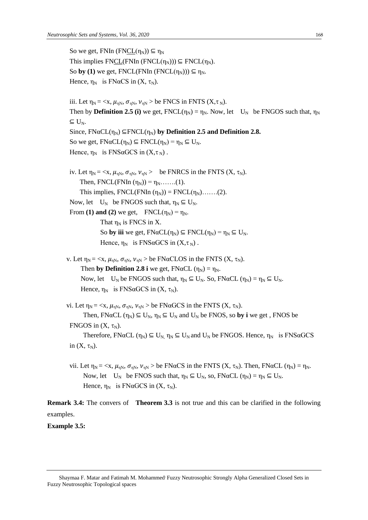```
So we get, FNIn (FNCL(\eta_N)) \subseteq \eta_NThis implies FNCL(FNIn (FNCL(\eta_N))) \subseteq FNCL(\eta_N).
 So by (1) we get, FNCL(FNIn (FNCL(\eta_N))) \subseteq \eta_N.
 Hence, \eta_N is FN\alphaCS in (X, \tau_N).
 iii. Let \eta_N = \langle x, \mu_{nN}, \sigma_{nN}, \nu_{nN} \rangle be FNCS in FNTS (X, \tau_N).
 Then by Definition 2.5 (i) we get, FNCL(\eta_N) = \eta_N. Now, let U_N be FNGOS such that, \eta_N\subseteq U<sub>N</sub>.
 Since, FN\alpha CL(\eta_N) \subseteq FNCL(\eta_N) by Definition 2.5 and Definition 2.8.
 So we get, FN\alpha CL(\eta_N) \subseteq FNCL(\eta_N) = \eta_N \subseteq U_N.
 Hence, \eta_N is FNSaGCS in (X, \tau_N).
 iv. Let \eta_N = \langle x, \mu_{nN}, \sigma_{nN}, \nu_{nN} \rangle be FNRCS in the FNTS (X, \tau_N).
      Then, FNCL(FNIn (\eta_N)) = \eta_N…….(1).
      This implies, FNCL(FNIn (\eta_N)) = FNCL(\eta_N).......(2).
 Now, let U_N be FNGOS such that, \eta_N \subseteq U_N.
 From (1) and (2) we get, \text{FNCL}(\eta_N) = \eta_N.
                That \eta_N is FNCS in X.
                So by iii we get, FN\alpha CL(\eta_N) \subseteq FNCL(\eta_N) = \eta_N \subseteq U_N.
                Hence, \eta_N is FNSαGCS in (X, \tau_N).
v. Let \eta_N = \langle x, \mu_{nN}, \sigma_{nN}, \nu_{nN} \rangle be FNaCLOS in the FNTS (X, \tau_N).
      Then by Definition 2.8 i we get, FN\alpha CL (\eta_N) = \eta_N.
      Now, let U_N be FNGOS such that, \eta_N \subseteq U_N. So, FNαCL (\eta_N) = \eta_N \subseteq U_N.
      Hence, \eta_N is FNSaGCS in (X, \tau_N).
vi. Let \eta_N = \langle x, \mu_{nN}, \sigma_{nN}, \nu_{nN} \rangle be FN\alphaGCS in the FNTS (X, \tau_N).
        Then, FNaCL (\eta_N) \subseteq U<sub>N</sub>, \eta_N \subseteq U<sub>N</sub> and U<sub>N</sub> be FNOS, so by i we get, FNOS be
 FNGOS in (X, \tau_N).
        Therefore, FNaCL (\eta_N) \subseteq U_N \eta_N \subseteq U_N and U_N be FNGOS. Hence, \eta_N is FNSaGCS
 in (X, \tau_N).
 vii. Let \eta_N = \langle x, \mu_{nN}, \sigma_{nN}, \nu_{nN} \rangle be FNaCS in the FNTS (X, \tau_N). Then, FNaCL (\eta_N) = \eta_N.
        Now, let U_N be FNOS such that, \eta_N \subseteq U_N, so, FN\alphaCL (\eta_N) = \eta_N \subseteq U_N.
```

```
Hence, \eta_N is FN\alphaGCS in (X, \tau_N).
```
**Remark 3.4:** The convers of **Theorem 3.3** is not true and this can be clarified in the following examples.

**Example 3.5:**

Shaymaa F. Matar and Fatimah M. Mohammed Fuzzy Neutrosophic Strongly Alpha Generalized Closed Sets in Fuzzy Neutrosophic Topological spaces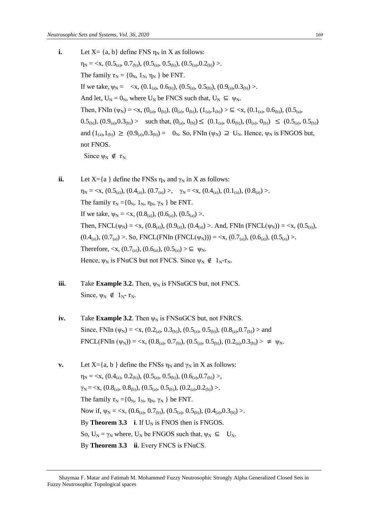- **i.** Let  $X = \{a, b\}$  define FNS  $\eta_N$  in X as follows:  $\eta_N = \langle X, (0.5_{(a)}, 0.7_{(b)}), (0.5_{(a)}, 0.5_{(b)}), (0.5_{(a)}, 0.2_{(b)}) \rangle.$ The family  $\tau_N = \{0_N, 1_N, \eta_N\}$  be FNT. If we take,  $\psi_N = \langle x, (0.1_{(a)}, 0.6_{(b)})$ ,  $(0.5_{(a)}, 0.5_{(b)})$ ,  $(0.9_{(a)}, 0.3_{(b)})$ . And let,  $U_N = 0_N$ , where  $U_N$  be FNCS such that,  $U_N \subseteq \Psi_N$ . Then, FNIn ( $\psi_N$ ) = <x, ( $0_{(a)}$ ,  $0_{(b)}$ ), ( $0_{(a)}$ ,  $0_{(b)}$ ), ( $1_{(a)}$ ,  $1_{(b)}$ ) >  $\subseteq$  <x, ( $0.1_{(a)}$ ,  $0.6_{(b)}$ ), ( $0.5_{(a)}$ ,  $(0.5_{(b)}), (0.9_{(a)}, 0.3_{(b)})$  > such that,  $(0_{(a)}, 0_{(b)}) \leq (0.1_{(a)}, 0.6_{(b)}), (0_{(a)}, 0_{(b)}) \leq (0.5_{(a)}, 0.5_{(b)})$ and  $(1_{(a)},1_{(b)}) \ge (0.9_{(a)},0.3_{(b)}) = 0_N$ . So, FNIn  $(\psi_N) \supseteq U_N$ . Hence,  $\psi_N$  is FNGOS but, not FNOS. Since  $\psi_N \notin \tau_{N.}$
- **ii.** Let  $X = \{a\}$  define the FNSs  $\eta_N$  and  $\gamma_N$  in X as follows:  $\eta_N = \langle x, (0.5_{(a)}), (0.4_{(a)}), (0.7_{(a)}) \rangle, \quad \gamma_N = \langle x, (0.4_{(a)}), (0.1_{(a)}), (0.8_{(a)}) \rangle.$ The family  $\tau_N = \{0_N, 1_N, \eta_N, \gamma_N \}$  be FNT. If we take,  $\psi_N = \langle x, (0.8_{(a)}), (0.6_{(a)}), (0.5_{(a)}) \rangle$ . Then,  $FNCL(\psi_N) = \langle x, (0.8_{(a)}), (0.9_{(a)}), (0.4_{(a)}) \rangle$ . And,  $FNIn (FNCL(\psi_N)) = \langle x, (0.5_{(a)}),$  $(0.4<sub>(a)</sub>), (0.7<sub>(a)</sub>) >$ . So, FNCL(FNIn (FNCL( $\psi_N$ ))) = <x, (0.7<sub>(a)</sub>), (0.6<sub>(a)</sub>), (0.5<sub>(a)</sub>) >. Therefore,  $\langle x, (0.7_{(a)}), (0.6_{(a)}), (0.5_{(a)}) \rangle \subseteq \Psi_N$ . Hence,  $\psi_N$  is FN $\alpha$ CS but not FNCS. Since  $\psi_N \notin 1_{N}$ - $\tau_N$ .
- **iii.** Take **Example 3.2.** Then,  $\psi_N$  is FNS $\alpha$ GCS but, not FNCS. Since,  $\psi_N \notin 1_{N^-} \tau_N$ .
- **iv.** Take **Example 3.2**. Then  $\psi_N$  is FNS $\alpha$ GCS but, not FNRCS. Since, FNIn ( $\psi_N$ ) = <x, (0.2<sub>(a)</sub>, 0.3<sub>(b)</sub>), (0.5<sub>(a)</sub>, 0.5<sub>(b)</sub>), (0.8<sub>(a)</sub>,0.7<sub>(b)</sub>) > and  $\text{FNCL}(\text{FNIn }(\psi_N)) = \langle x, (0.8_{(a)}, 0.7_{(b)}), (0.5_{(a)}, 0.5_{(b)}), (0.2_{(a)}, 0.3_{(b)}) \rangle \neq \psi_N$ .
- **v.** Let  $X = \{a, b\}$  define the FNSs  $\eta_N$  and  $\gamma_N$  in X as follows:  $\eta_{\rm N} = \langle X, (0.4_{\text{(a)}}, 0.2_{\text{(b)}}), (0.5_{\text{(a)}}, 0.5_{\text{(b)}}), (0.6_{\text{(a)}}, 0.7_{\text{(b)}}) \rangle$  $\gamma_{\rm N} = \langle x, (0.8_{\text{(a)}}, 0.8_{\text{(b)}}), (0.5_{\text{(a)}}, 0.5_{\text{(b)}}), (0.2_{\text{(a)}}, 0.2_{\text{(b)}}) \rangle.$ The family  $\tau_N = \{0_N, 1_N, \eta_N, \gamma_N \}$  be FNT. Now if,  $\psi_N = \langle x, (0.6_{(a)}, 0.7_{(b)}), (0.5_{(a)}, 0.5_{(b)}), (0.4_{(a)}, 0.3_{(b)}) \rangle$ . By **Theorem 3.3 i**. If  $U_N$  is FNOS then is FNGOS. So,  $U_N = \gamma_N$  where,  $U_N$  be FNGOS such that,  $\psi_N \subseteq U_N$ . By **Theorem 3.3 ii**. Every FNCS is FN $\alpha$ CS.

Shaymaa F. Matar and Fatimah M. Mohammed Fuzzy Neutrosophic Strongly Alpha Generalized Closed Sets in Fuzzy Neutrosophic Topological spaces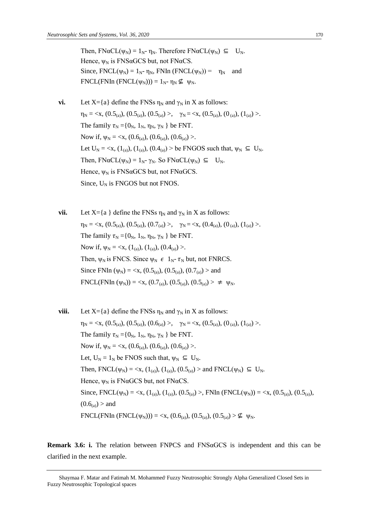Then,  $FN\alpha CL(\psi_N) = 1_N - \eta_N$ . Therefore  $FN\alpha CL(\psi_N) \subseteq U_N$ . Hence,  $\psi_N$  is FNSaGCS but, not FNaCS. Since,  $FNCL(\psi_N) = 1_N - \eta_N$ ,  $FNIn (FNCL(\psi_N)) = \eta_N$  and  $FNCL(FNIn (FNCL(\psi_N))) = 1_N - \eta_N \nsubseteq \psi_N$ .

- **vi.** Let  $X = \{a\}$  define the FNSs  $\eta_N$  and  $\gamma_N$  in X as follows:  $\eta_N = \langle x, (0.5_{(a)}), (0.5_{(a)}), (0.5_{(a)}) \rangle, \quad \gamma_N = \langle x, (0.5_{(a)}), (0_{(a)}), (1_{(a)}) \rangle.$ The family  $\tau_N = \{0_N, 1_N, \eta_N, \gamma_N \}$  be FNT. Now if,  $\psi_N = \langle x, (0.6_{(a)}), (0.6_{(a)}), (0.6_{(a)}) \rangle$ . Let  $U_N = \langle x, (1_{(a)}), (1_{(a)}), (0.4_{(a)}) \rangle$  be FNGOS such that,  $\psi_N \subseteq U_N$ . Then,  $FN\alpha CL(\psi_N) = 1_N - \gamma_N$ . So  $FN\alpha CL(\psi_N) \subseteq U_N$ . Hence,  $\psi_N$  is FNS $\alpha$ GCS but, not FN $\alpha$ GCS. Since,  $U_N$  is FNGOS but not FNOS.
- **vii.** Let  $X = \{a\}$  define the FNSs  $\eta_N$  and  $\gamma_N$  in X as follows:  $\eta_N = \langle x, (0.5)_{\text{(a)}}), (0.5)_{\text{(a)}}), (0.7)_{\text{(a)}}\rangle, \quad \gamma_N = \langle x, (0.4)_{\text{(a)}}), (0)_{\text{(a)}}\rangle, (1)_{\text{(a)}}\rangle.$ The family  $\tau_N = \{0_N, 1_N, \eta_N, \gamma_N \}$  be FNT. Now if,  $\psi_N = \langle x, (1_{(a)}), (1_{(a)}), (0.4_{(a)}) \rangle$ . Then,  $\psi_N$  is FNCS. Since  $\psi_N \in 1_N$ -  $\tau_N$  but, not FNRCS. Since FNIn ( $\psi_N$ ) = <x, (0.5<sub>(a)</sub>), (0.5<sub>(a)</sub>), (0.7<sub>(a)</sub>) > and  $\text{FNCL}(\text{FNIn }(\psi_N)) = \langle x, (0.7_{\text{(a)}}), (0.5_{\text{(a)}}), (0.5_{\text{(a)}}) \rangle \neq \psi_N.$
- **viii.** Let  $X = \{a\}$  define the FNSs  $\eta_N$  and  $\gamma_N$  in X as follows:  $\eta_N = \langle x, (0.5_{(a)}), (0.5_{(a)}), (0.6_{(a)}) \rangle, \quad \gamma_N = \langle x, (0.5_{(a)}), (0_{(a)}), (1_{(a)}) \rangle.$ The family  $\tau_N = \{0_N, 1_N, \eta_N, \gamma_N \}$  be FNT. Now if,  $\psi_N = \langle x, (0.6_{(a)}) , (0.6_{(a)}) , (0.6_{(a)}) \rangle$ . Let,  $U_N = 1_N$  be FNOS such that,  $\psi_N \subseteq U_N$ . Then,  $\text{FNCL}(\psi_N) = \langle x, (1_{(a)}), (1_{(a)}), (0.5_{(a)}) \rangle$  and  $\text{FNCL}(\psi_N) \subseteq U_N$ . Hence,  $\psi_N$  is FNaGCS but, not FNaCS. Since, FNCL( $\psi_N$ ) = <x, (1<sub>(a)</sub>), (1<sub>(a)</sub>), (0.5<sub>(a)</sub>) >, FNIn (FNCL( $\psi_N$ )) = <x, (0.5<sub>(a)</sub>), (0.5<sub>(a)</sub>),  $(0.6<sub>(a)</sub>) >$  and  $FNCL(FNIn (FNCL(\psi_N))) = \langle x, (0.6_{(a)}), (0.5_{(a)}), (0.5_{(a)}) \rangle \nsubseteq \psi_N$ .

**Remark 3.6: i.** The relation between FNPCS and FNSαGCS is independent and this can be clarified in the next example.

Shaymaa F. Matar and Fatimah M. Mohammed Fuzzy Neutrosophic Strongly Alpha Generalized Closed Sets in Fuzzy Neutrosophic Topological spaces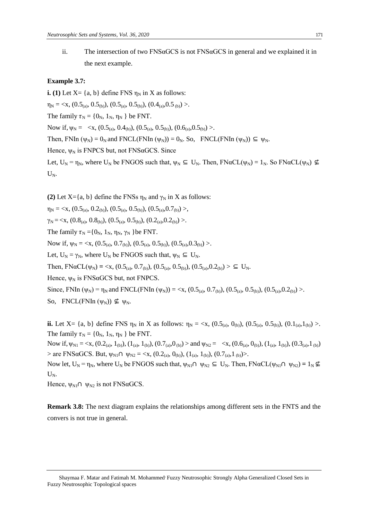ii. The intersection of two  $FNS\alpha GCS$  is not  $FNS\alpha GCS$  in general and we explained it in the next example.

#### **Example 3.7:**

**i.** (1) Let  $X = \{a, b\}$  define FNS  $\eta_N$  in X as follows:  $\eta_N = \langle x, (0.5_{(a)}, 0.5_{(b)}), (0.5_{(a)}, 0.5_{(b)}), (0.4_{(a)}, 0.5_{(b)}) \rangle$ . The family  $\tau_N = \{0_N, 1_N, \eta_N\}$  be FNT. Now if,  $\psi_N = \langle x, (0.5_{(a)}, 0.4_{(b)}), (0.5_{(a)}, 0.5_{(b)}), (0.6_{(a)}, 0.5_{(b)}) \rangle$ . Then, FNIn ( $\psi_N$ ) = 0<sub>N</sub> and FNCL(FNIn ( $\psi_N$ )) = 0<sub>N</sub>. So, FNCL(FNIn ( $\psi_N$ ))  $\subseteq \psi_N$ . Hence,  $\psi_N$  is FNPCS but, not FNS $\alpha$ GCS. Since Let,  $U_N = \eta_N$ , where  $U_N$  be FNGOS such that,  $\psi_N \subseteq U_N$ . Then,  $FN\alpha CL(\psi_N) = 1_N$ . So  $FN\alpha CL(\psi_N) \nsubseteq$  $U_N$ .

**(2)** Let  $X = \{a, b\}$  define the FNSs  $\eta_N$  and  $\gamma_N$  in X as follows:

 $\eta_{\rm N} = \langle X, (0.5_{(a)}, 0.2_{(b)}), (0.5_{(a)}, 0.5_{(b)}), (0.5_{(a)}, 0.7_{(b)}) \rangle$  $\gamma_{\rm N} = \langle X, (0.8_{(a)}, 0.8_{(b)}), (0.5_{(a)}, 0.5_{(b)}), (0.2_{(a)}, 0.2_{(b)}) \rangle$ . The family  $\tau_N = \{0_N, 1_N, \eta_N, \gamma_N \}$ be FNT. Now if,  $\psi_N = \langle x, (0.5_{(a)}, 0.7_{(b)}), (0.5_{(a)}, 0.5_{(b)}), (0.5_{(a)}, 0.3_{(b)}) \rangle$ . Let,  $U_N = \gamma_N$ , where  $U_N$  be FNGOS such that,  $\psi_N \subseteq U_N$ . Then,  $F\text{NaCL}(\psi_N) = \langle x, (0.5_{(a)}, 0.7_{(b)}), (0.5_{(a)}, 0.5_{(b)}), (0.5_{(a)}, 0.2_{(b)}) \rangle \subseteq U_N$ . Hence,  $\psi_N$  is FNS $\alpha$ GCS but, not FNPCS. Since, FNIn ( $\psi_N$ ) =  $\eta_N$  and FNCL(FNIn ( $\psi_N$ )) = <x, (0.5<sub>(a)</sub>, 0.7<sub>(b)</sub>), (0.5<sub>(a)</sub>, 0.5<sub>(b)</sub>), (0.5<sub>(a)</sub>, 0.2<sub>(b)</sub>) >. So, FNCL(FNIn  $(\Psi_N)$ )  $\nsubseteq$   $\Psi_N$ .

**ii.** Let X= {a, b} define FNS  $\eta_N$  in X as follows:  $\eta_N = \langle x, (0.5_{(a)}, 0_{(b)})$ ,  $(0.5_{(a)}, 0.5_{(b)})$ ,  $(0.1_{(a)}, 1_{(b)})$ . The family  $\tau_N = \{0_N, 1_N, \eta_N\}$  be FNT.

Now if,  $\psi_{N1} = \langle x, (0.2_{(a)}, 1_{(b)}), (1_{(a)}, 1_{(b)}), (0.7_{(a)}, 0_{(b)}) \rangle$  and  $\psi_{N2} = \langle x, (0.6_{(a)}, 0_{(b)}), (1_{(a)}, 1_{(b)}), (0.3_{(a)}, 1_{(b)}) \rangle$  $>$  are FNSαGCS. But,  $\psi_{N1} \cap \psi_{N2} = \langle x, (0.2_{(a)}, 0_{(b)}), (1_{(a)}, 1_{(b)}), (0.7_{(a)}, 1_{(b)}) \rangle$ .

Now let,  $U_N = \eta_N$ , where  $U_N$  be FNGOS such that,  $\psi_{N1} \cap \psi_{N2} \subseteq U_N$ . Then,  $FN\alpha CL(\psi_{N1} \cap \psi_{N2}) = 1_N \nsubseteq$  $U_N$ .

Hence,  $\psi_{N1} \cap \psi_{N2}$  is not FNSaGCS.

**Remark 3.8:** The next diagram explains the relationships among different sets in the FNTS and the convers is not true in general.

Shaymaa F. Matar and Fatimah M. Mohammed Fuzzy Neutrosophic Strongly Alpha Generalized Closed Sets in Fuzzy Neutrosophic Topological spaces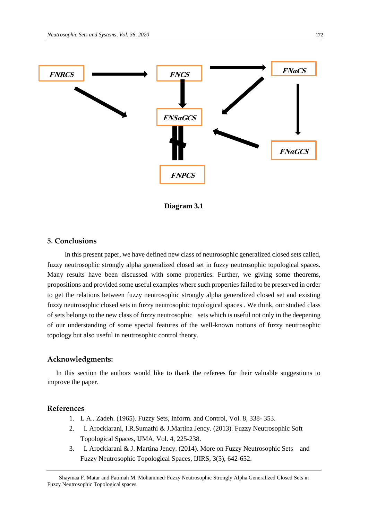

**Diagram 3.1**

### **5. Conclusions**

 In this present paper, we have defined new class of neutrosophic generalized closed sets called, fuzzy neutrosophic strongly alpha generalized closed set in fuzzy neutrosophic topological spaces. Many results have been discussed with some properties. Further, we giving some theorems, propositions and provided some useful examples where such properties failed to be preserved in order to get the relations between fuzzy neutrosophic strongly alpha generalized closed set and existing fuzzy neutrosophic closed sets in fuzzy neutrosophic topological spaces . We think, our studied class of sets belongs to the new class of fuzzy neutrosophic sets which is useful not only in the deepening of our understanding of some special features of the well-known notions of fuzzy neutrosophic topology but also useful in neutrosophic control theory.

### **Acknowledgments:**

In this section the authors would like to thank the referees for their valuable suggestions to improve the paper.

### **References**

- 1. L A.. Zadeh. (1965). Fuzzy Sets, Inform. and Control, Vol. 8, 338- 353.
- 2. I. Arockiarani, I.R.Sumathi & J.Martina Jency. (2013). Fuzzy Neutrosophic Soft Topological Spaces, IJMA, Vol. 4, 225-238.
- 3. I. Arockiarani & J. Martina Jency. (2014). More on Fuzzy Neutrosophic Sets and Fuzzy Neutrosophic Topological Spaces, IJIRS, 3(5), 642-652.

Shaymaa F. Matar and Fatimah M. Mohammed' Fuzzy Neutrosophic Strongly Alpha Generalized Closed Sets in Fuzzy Neutrosophic Topological spaces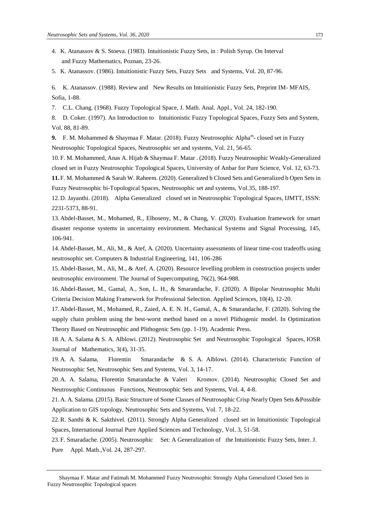- 4. K. Atanassov & S. Stoeva. (1983). Intuitionistic Fuzzy Sets, in : Polish Syrup. On Interval and Fuzzy Mathematics, Poznan, 23-26.
- 5. K. Atanassov. (1986). Intuitionistic Fuzzy Sets, Fuzzy Sets and Systems, Vol. 20, 87-96.

6. K. Atanassov. (1988). Review and New Results on Intuitionistic Fuzzy Sets, Preprint IM- MFAIS, Sofia, 1-88.

7. C.L. Chang. (1968). Fuzzy Topological Space, J. Math. Anal. Appl., Vol. 24, 182-190.

8. D. Coker. (1997). An Introduction to Intuitionistic Fuzzy Topological Spaces, Fuzzy Sets and System, Vol. 88, 81-89.

9. F. M. Mohammed & Shaymaa F. Matar. (2018). Fuzzy Neutrosophic Alpha<sup>m</sup>- closed set in Fuzzy Neutrosophic Topological Spaces, Neutrosophic set and systems, Vol. 21, 56-65.

10.F. M. Mohammed, Anas A. Hijab & Shaymaa F. Matar . (2018). Fuzzy Neutrosophic Weakly**-**Generalized closed set in Fuzzy Neutrosophic Topological Spaces, University of Anbar for Pure Science, Vol. 12, 63-73.

**11.**F. M. Mohammed & Sarah W. Raheem. (2020). Generalized b Closed Sets and Generalized b Open Sets in Fuzzy Neutrosophic bi-Topological Spaces, Neutrosophic set and systems, Vol.35, 188-197.

12.D. Jayanthi. (2018). Alpha Generalized closed set in Neutrosophic Topological Spaces, IJMTT, ISSN: 2231-5373, 88-91.

13.Abdel-Basset, M., Mohamed, R., Elhoseny, M., & Chang, V. (2020). Evaluation framework for smart disaster response systems in uncertainty environment. Mechanical Systems and Signal Processing, 145, 106-941.

14.Abdel-Basset, M., Ali, M., & Atef, A. (2020). Uncertainty assessments of linear time-cost tradeoffs using neutrosophic set. Computers & Industrial Engineering, 141, 106-286

15.Abdel-Basset, M., Ali, M., & Atef, A. (2020). Resource levelling problem in construction projects under neutrosophic environment. The Journal of Supercomputing, 76(2), 964-988.

16.Abdel-Basset, M., Gamal, A., Son, L. H., & Smarandache, F. (2020). A Bipolar Neutrosophic Multi Criteria Decision Making Framework for Professional Selection. Applied Sciences, 10(4), 12-20.

17.Abdel-Basset, M., Mohamed, R., Zaied, A. E. N. H., Gamal, A., & Smarandache, F. (2020). Solving the supply chain problem using the best-worst method based on a novel Plithogenic model. In Optimization Theory Based on Neutrosophic and Plithogenic Sets (pp. 1-19). Academic Press.

18.A. A. Salama & S. A. Alblowi. (2012). Neutrosophic Set and Neutrosophic Topological Spaces, IOSR Journal of Mathematics, 3(4), 31-35.

19.A. A. Salama, Florentin Smarandache & S. A. Alblowi. (2014). Characteristic Function of Neutrosophic Set, Neutrosophic Sets and Systems, Vol. 3, 14-17.

20.A. A. Salama, Florentin Smarandache & Valeri Kromov. (2014). Neutrosophic Closed Set and Neutrosophic Continuous Functions, Neutrosophic Sets and Systems, Vol. 4, 4-8.

21.A. A. Salama. (2015). Basic Structure of Some Classes of Neutrosophic Crisp Nearly Open Sets &Possible Application to GIS topology, Neutrosophic Sets and Systems, Vol. 7, 18-22.

22.R. Santhi & K. Sakthivel. (2011). Strongly Alpha Generalized closed set in Intuitionistic Topological Spaces, International Journal Pure Applied Sciences and Technology, Vol. 3, 51-58.

23.F. Smaradache. (2005). Neutrosophic Set: A Generalization of the Intuitionistic Fuzzy Sets, Inter. J. Pure Appl. Math.,Vol. 24, 287-297.

Shaymaa F. Matar and Fatimah M. Mohammed' Fuzzy Neutrosophic Strongly Alpha Generalized Closed Sets in Fuzzy Neutrosophic Topological spaces